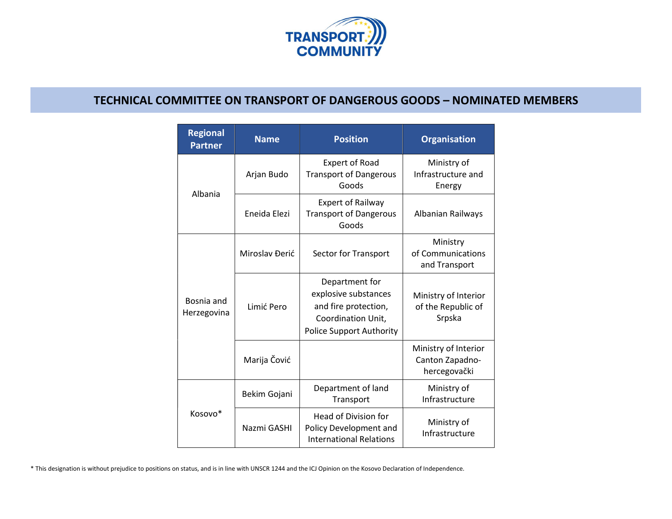

## TECHNICAL COMMITTEE ON TRANSPORT OF DANGEROUS GOODS – NOMINATED MEMBERS

| <b>Regional</b><br><b>Partner</b> | <b>Name</b>    | <b>Position</b>                                                                                                         | <b>Organisation</b>                                     |
|-----------------------------------|----------------|-------------------------------------------------------------------------------------------------------------------------|---------------------------------------------------------|
| Albania                           | Arjan Budo     | <b>Expert of Road</b><br><b>Transport of Dangerous</b><br>Goods                                                         | Ministry of<br>Infrastructure and<br>Energy             |
|                                   | Eneida Elezi   | <b>Expert of Railway</b><br><b>Transport of Dangerous</b><br>Goods                                                      | Albanian Railways                                       |
| Bosnia and<br>Herzegovina         | Miroslav Đerić | Sector for Transport                                                                                                    | Ministry<br>of Communications<br>and Transport          |
|                                   | Limić Pero     | Department for<br>explosive substances<br>and fire protection,<br>Coordination Unit,<br><b>Police Support Authority</b> | Ministry of Interior<br>of the Republic of<br>Srpska    |
|                                   | Marija Čović   |                                                                                                                         | Ministry of Interior<br>Canton Zapadno-<br>hercegovački |
| Kosovo*                           | Bekim Gojani   | Department of land<br>Transport                                                                                         | Ministry of<br>Infrastructure                           |
|                                   | Nazmi GASHI    | Head of Division for<br>Policy Development and<br><b>International Relations</b>                                        | Ministry of<br>Infrastructure                           |

\* This designation is without prejudice to positions on status, and is in line with UNSCR 1244 and the ICJ Opinion on the Kosovo Declaration of Independence.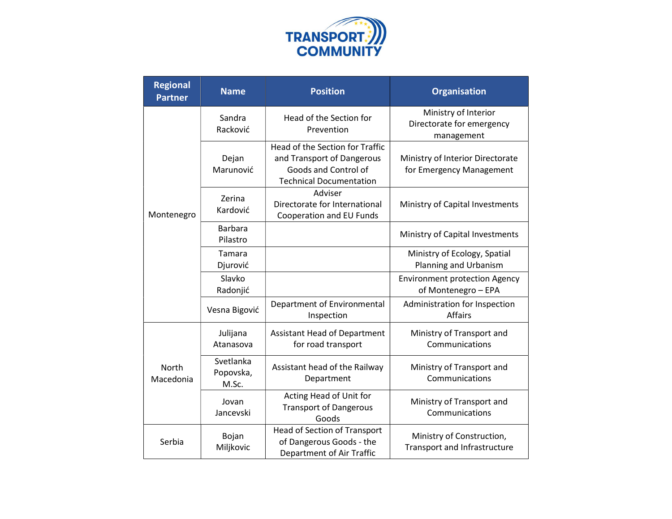

| <b>Regional</b><br><b>Partner</b> | <b>Name</b>                     | <b>Position</b>                                                                                                         | <b>Organisation</b>                                             |
|-----------------------------------|---------------------------------|-------------------------------------------------------------------------------------------------------------------------|-----------------------------------------------------------------|
| Montenegro                        | Sandra<br>Racković              | Head of the Section for<br>Prevention                                                                                   | Ministry of Interior<br>Directorate for emergency<br>management |
|                                   | Dejan<br>Marunović              | Head of the Section for Traffic<br>and Transport of Dangerous<br>Goods and Control of<br><b>Technical Documentation</b> | Ministry of Interior Directorate<br>for Emergency Management    |
|                                   | Zerina<br>Kardović              | Adviser<br>Directorate for International<br>Cooperation and EU Funds                                                    | Ministry of Capital Investments                                 |
|                                   | <b>Barbara</b><br>Pilastro      |                                                                                                                         | Ministry of Capital Investments                                 |
|                                   | Tamara<br>Djurović              |                                                                                                                         | Ministry of Ecology, Spatial<br>Planning and Urbanism           |
|                                   | Slavko<br>Radonjić              |                                                                                                                         | <b>Environment protection Agency</b><br>of Montenegro - EPA     |
|                                   | Vesna Bigović                   | Department of Environmental<br>Inspection                                                                               | Administration for Inspection<br><b>Affairs</b>                 |
| <b>North</b><br>Macedonia         | Julijana<br>Atanasova           | <b>Assistant Head of Department</b><br>for road transport                                                               | Ministry of Transport and<br>Communications                     |
|                                   | Svetlanka<br>Popovska,<br>M.Sc. | Assistant head of the Railway<br>Department                                                                             | Ministry of Transport and<br>Communications                     |
|                                   | Jovan<br>Jancevski              | Acting Head of Unit for<br><b>Transport of Dangerous</b><br>Goods                                                       | Ministry of Transport and<br>Communications                     |
| Serbia                            | Bojan<br>Miljkovic              | Head of Section of Transport<br>of Dangerous Goods - the<br>Department of Air Traffic                                   | Ministry of Construction,<br>Transport and Infrastructure       |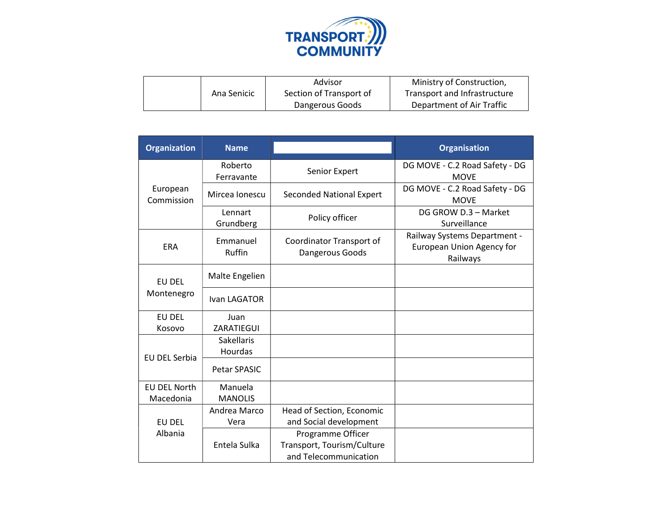

|             | Advisor                 | Ministry of Construction,    |
|-------------|-------------------------|------------------------------|
| Ana Senicic | Section of Transport of | Transport and Infrastructure |
|             | Dangerous Goods         | Department of Air Traffic    |

| <b>Organization</b>    | <b>Name</b>                         |                                             | <b>Organisation</b>                                                   |
|------------------------|-------------------------------------|---------------------------------------------|-----------------------------------------------------------------------|
| European<br>Commission | Roberto<br>Ferravante               | Senior Expert                               | DG MOVE - C.2 Road Safety - DG<br><b>MOVE</b>                         |
|                        | Mircea Ionescu                      | <b>Seconded National Expert</b>             | DG MOVE - C.2 Road Safety - DG<br><b>MOVE</b>                         |
|                        | Lennart<br>Grundberg                | Policy officer                              | DG GROW D.3 - Market<br>Surveillance                                  |
| <b>ERA</b>             | Emmanuel<br>Ruffin                  | Coordinator Transport of<br>Dangerous Goods | Railway Systems Department -<br>European Union Agency for<br>Railways |
| EU DEL<br>Montenegro   | Malte Engelien                      |                                             |                                                                       |
|                        | Ivan LAGATOR                        |                                             |                                                                       |
| EU DEL                 | Juan                                |                                             |                                                                       |
| Kosovo                 | ZARATIEGUI                          |                                             |                                                                       |
| EU DEL Serbia          | <b>Sakellaris</b><br><b>Hourdas</b> |                                             |                                                                       |
|                        | Petar SPASIC                        |                                             |                                                                       |
| <b>EU DEL North</b>    | Manuela                             |                                             |                                                                       |
| Macedonia              | <b>MANOLIS</b>                      |                                             |                                                                       |
|                        | Andrea Marco                        | Head of Section, Economic                   |                                                                       |
| EU DEL                 | Vera                                | and Social development                      |                                                                       |
| Albania                |                                     | Programme Officer                           |                                                                       |
|                        | Entela Sulka                        | Transport, Tourism/Culture                  |                                                                       |
|                        |                                     | and Telecommunication                       |                                                                       |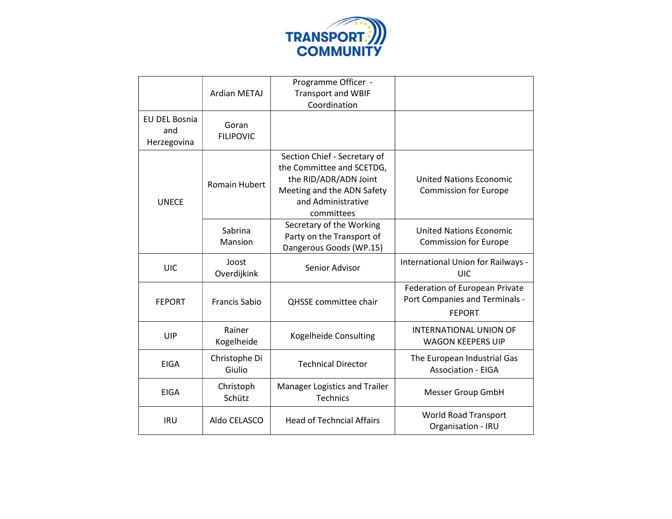

|                                     | Ardian METAJ              | Programme Officer -<br><b>Transport and WBIF</b><br>Coordination                                                                                     |                                                                                   |
|-------------------------------------|---------------------------|------------------------------------------------------------------------------------------------------------------------------------------------------|-----------------------------------------------------------------------------------|
| EU DEL Bosnia<br>and<br>Herzegovina | Goran<br><b>FILIPOVIC</b> |                                                                                                                                                      |                                                                                   |
| <b>UNECE</b>                        | <b>Romain Hubert</b>      | Section Chief - Secretary of<br>the Committee and SCETDG,<br>the RID/ADR/ADN Joint<br>Meeting and the ADN Safety<br>and Administrative<br>committees | <b>United Nations Economic</b><br><b>Commission for Europe</b>                    |
|                                     | Sabrina<br>Mansion        | Secretary of the Working<br>Party on the Transport of<br>Dangerous Goods (WP.15)                                                                     | <b>United Nations Economic</b><br><b>Commission for Europe</b>                    |
| UIC                                 | Joost<br>Overdijkink      | Senior Advisor                                                                                                                                       | International Union for Railways -<br>UIC                                         |
| <b>FEPORT</b>                       | <b>Francis Sabio</b>      | <b>QHSSE</b> committee chair                                                                                                                         | Federation of European Private<br>Port Companies and Terminals -<br><b>FEPORT</b> |
| UIP                                 | Rainer<br>Kogelheide      | Kogelheide Consulting                                                                                                                                | <b>INTERNATIONAL UNION OF</b><br><b>WAGON KEEPERS UIP</b>                         |
| <b>EIGA</b>                         | Christophe Di<br>Giulio   | <b>Technical Director</b>                                                                                                                            | The European Industrial Gas<br><b>Association - EIGA</b>                          |
| <b>EIGA</b>                         | Christoph<br>Schütz       | Manager Logistics and Trailer<br>Technics                                                                                                            | <b>Messer Group GmbH</b>                                                          |
| <b>IRU</b>                          | Aldo CELASCO              | <b>Head of Techncial Affairs</b>                                                                                                                     | <b>World Road Transport</b><br>Organisation - IRU                                 |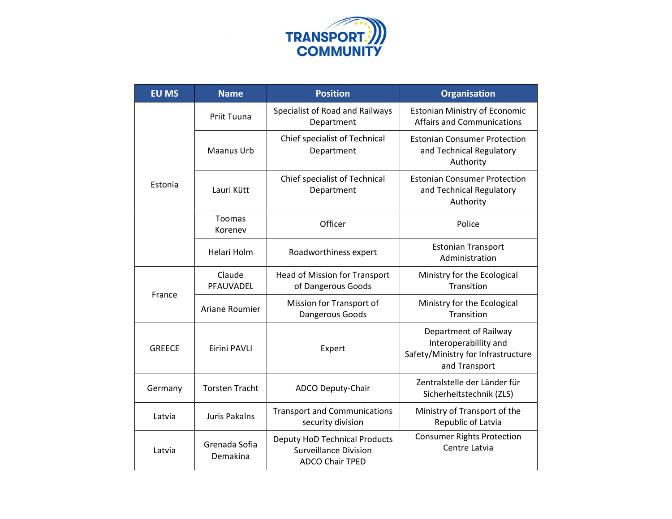

| <b>EU MS</b>  | <b>Name</b>               | <b>Position</b>                                                                                | <b>Organisation</b>                                                                                   |
|---------------|---------------------------|------------------------------------------------------------------------------------------------|-------------------------------------------------------------------------------------------------------|
| Estonia       | Priit Tuuna               | Specialist of Road and Railways<br>Department                                                  | <b>Estonian Ministry of Economic</b><br><b>Affairs and Communications</b>                             |
|               | Maanus Urb                | Chief specialist of Technical<br>Department                                                    | <b>Estonian Consumer Protection</b><br>and Technical Regulatory<br>Authority                          |
|               | Lauri Kütt                | Chief specialist of Technical<br>Department                                                    | <b>Estonian Consumer Protection</b><br>and Technical Regulatory<br>Authority                          |
|               | Toomas<br>Korenev         | Officer                                                                                        | Police                                                                                                |
|               | Helari Holm               | Roadworthiness expert                                                                          | <b>Estonian Transport</b><br>Administration                                                           |
| France        | Claude<br>PFAUVADEL       | Head of Mission for Transport<br>of Dangerous Goods                                            | Ministry for the Ecological<br>Transition                                                             |
|               | Ariane Roumier            | Mission for Transport of<br>Dangerous Goods                                                    | Ministry for the Ecological<br>Transition                                                             |
| <b>GREECE</b> | Eirini PAVLI              | Expert                                                                                         | Department of Railway<br>Interoperabillity and<br>Safety/Ministry for Infrastructure<br>and Transport |
| Germany       | <b>Torsten Tracht</b>     | ADCO Deputy-Chair                                                                              | Zentralstelle der Länder für<br>Sicherheitstechnik (ZLS)                                              |
| Latvia        | <b>Juris Pakalns</b>      | <b>Transport and Communications</b><br>security division                                       | Ministry of Transport of the<br>Republic of Latvia                                                    |
| Latvia        | Grenada Sofia<br>Demakina | <b>Deputy HoD Technical Products</b><br><b>Surveillance Division</b><br><b>ADCO Chair TPED</b> | <b>Consumer Rights Protection</b><br>Centre Latvia                                                    |